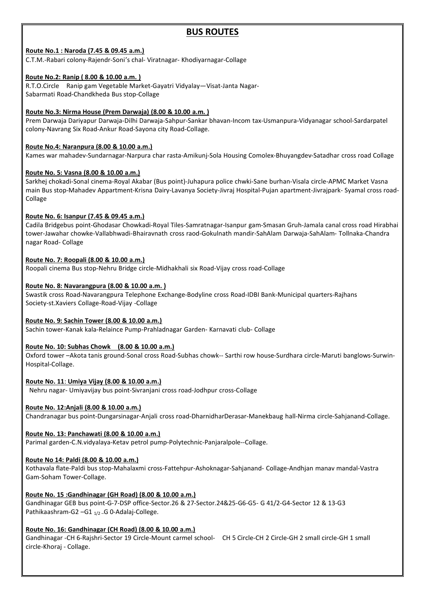# **BUS ROUTES**<br>
Andivarnagar-Collage<br>
Andivarnagar-Collage<br>
Andivarnagar-Collage

**BUS ROUTES**<br>Route No.1 : Naroda (7.45 & 09.45 a.m.)<br>C.T.M.-Rabari colony-Rajendr-Soni's chal- Viratnagar-Khodiyarnagar-Collage<br>Route No.2: Ranip (8.00 & 10.00 a.m.)<br>R.T.O.Circle Ranip gam Vegetable Market-Gayatri Vidyalay **BUS ROUTES**<br> **Route No.1 : Naroda (7.45 & 09.45 a.m.)**<br>C.T.M.-Rabari colony-Rajendr-Soni's chal- Viratnagar- Khodiyarnagar-Collage<br> **Route No.2: Ranip (8.00 & 10.00 a.m.)**<br>R.T.O.Circle Ranip gam Vegetable Market-Gayatri V

**BUS ROUTES**<br> **Route No.1 : Naroda (7.45 & 09.45 a.m.)**<br>
C.T.M.-Rabari colony-Rajendr-Soni's chal- Viratnagar- Khodiyarnagar-Collage<br> **Route No.2: Ranip ( 8.00 & 10.00 a.m. )**<br>
R.T.O.Circle Ranip gam Vegetable Market-Gayat **BUS ROUTES**<br>Route No.1 : Naroda (7.45 & 09.45 a.m.)<br>C.T.M.-Rabari colony-Rajendr-Soni's chal- Viratnagar- Khodiyarnagar-Collage<br>Route No.2: Ranip (8.00 & 10.00 a.m.)<br>R.T.O.Circle Ranip gam Vegetable Market-Gayatri Vidyala **BUS ROUTES**<br> **Route No.1 : Naroda (7.45 & 09.45 a.m.)**<br>
C.T.M.-Rabari colony-Rajendr-Soni's chal- Viratnagar-Khodiyarnagar-Collage<br> **Route No.2: Ranip (8.00 & 10.00 a.m.)**<br>
R.T.O.Circle Ranip gam Vegetable Market-Gayatri **BUS ROUTES**<br>Route No.1 : Naroda (7.45 & 09.45 a.m.)<br>C.T.M.-Rabari colony-Rajendr-Soni's chal- Viratnagar- Khodiyarnagar-Collage<br>Route No.2: Ranip (8.00 & 10.00 a.m.)<br>R.T.O.Circle Ranip gam Vegetable Market-Gayatri Vidyala **BUS ROUTES**<br> **Prem Dary Accompatible Compatible Compatible Compatible Compatible Compatible Compatible Compatible Compatible Compatible Compatible Compatible Compatible Compatible Compatible Compatible Compatible Compatib BUS ROUTES**<br> **Route No.1 : Naroda (7.45 & 09.45 a.m.)**<br> **Route No.2: Ranip (8.00 & 10.00 a.m.)**<br> **Route No.2: Ranip gan** Vegetable Market-Gayatri Vidyalay—Visat-Janta Nagar-<br>
Sabarmati Road-Chandkheda Bus stop-Collage<br> **R** 

**BUS ROUTES**<br>
Route No.1 : Naroda (7.45 & 09.45 a.m.)<br>
C.T.M.-Rabari colony-Rajendr-Soni's chal- Viratnagar- Khodiyarnagar-Collage<br>
Route No.2: Ranip (8.00 & 10.00 a.m.)<br>
Shorte No.2: Nirma House (Prem Darwaja) (8.00 & 10. **BUS ROUTES**<br>
ECT.M.-Rabari colony-Rajendr-Soni's chal- Viratnagar- Khodiyarnagar-Collage<br>
Route No.2: Ranip (8.00.8.10.000 a.m.)<br>
R.T.O.Circle Ranip gam Vegetable Market-Gayatri Vidyalay—Visat-Janta Nagar-<br>
Sabarmati Road **BUS ROUTES**<br> **Route No.1 : Naroda (7.45 & 09.45 a.m.)**<br>
C.T.M.-Rabari colony-Rajendr-Soni's chal- Viratnagar- Khodiyarnagar-Collage<br> **Route No.2: Ranip ( 8.00 & 10.00 a.m.)**<br> **Route No.3: Nirma House (Prem Darwaja) (8.00 BUS ROUTES**<br>Sarkhe Mo.1 : Naroda (7.45 & 09.45 a.m.)<br>C.T.M.-Rabari colony-Rajendr-Soni's chal- Viratnagar- Khodiyarnagar-Collage<br>Sabarmati Road-Chandkheda Bus top-Collage<br>Sabarmati Road-Chandkheda Bus top-Collage<br>Route No **BUS ROUTES**<br>E.T.M.-Rabari colony-Rajendr-Soni's chal- Viratnagar- Khodiyarnagar-Collage<br>R<u>oute No.2: Raml J & Roy & 10.00 a.m.</u><br>R.T.O.Circle - Ramp gan vigetable Market-Gayatri Vidyalay--Visat-Janta Nagar-<br>Sabarmati Road-Collage

**Route No. 1: Naroda (7.45 & 09.45 a.m.)**<br>C.T.M.-Rabari colony-Rajendr-Soni's chal- Viratnagar- Khodiyarnagar-Collage<br>Route No.2: Ranip (8.00 & 10.00 a.m.)<br>Route No.2: Nanip (8.00 & 10.00 a.m.)<br>Route No.2: Nirma House (Pre **Route No.1: Naroda (7.45 & 09.45 a.m.)**<br>CCT.M.-Robart colony-fielpent-Son'is Caha.<br>
Route No.2: Ranip (8.00 & 10.00 a.m.)<br>
Route No.2: Ranip (8.00 & 10.00 a.m.)<br>
Route No.2: Nama House (Frem Darwage Juli Darwage Sampur-Sa C.T.M.-Rabari colony-Rajendr-Soni's chai- Viratnagar- Khodiyamagar-Collage<br>**Route No.2: Raning 6.80 & J.0.00 a.m..)**<br>R.T.O.Circle Raning gan Vagetable Market-Goyatri Vidyalay—Visat-Janta Nagar-<br>Herm Darwaja Darwyang Six Ro **Route No.2: Ranip ( 8.00 & 10.00 a.m.)**<br>R.T.O.Circle Ranip ( 8.00 & 10.00 a.m.)<br>R.T.O.Circle Ranip gam Vegetable Market-Gayatri Vidyalay—Visat-Janta Nagar-<br>Sabarmati Road-Chandkheda Bus stop-Collage<br>Route No.3: Nirma Hous R.T.O.Circle Ranip gam Vegetable Market-Gayatri Vidyalay—Visat-Janta Nagar-<br>Sabarmati Road-Chandkheda Bus stop-Collage<br>**Route No.3:** Nirma House (Prem Darwaja-Dilhi Darwaja-Sahpur-Sankar bhavan-incom tax-Usmanpura-Vidyanag Sabarmati Road-Chandkheds Bus stop-Collage<br>**Route No.3: Nirma House (Prem Danwala) (8.00 & 10.00 a.m.)**<br>Prem Darwaja Dariyayur Darwaja-Dihii Darwaja-Sahuur-Sankar bhavan-Incom tax-Usmanpura-Vidyanagar school-Sardarpatel<br>Ro **Route No.3: Nirma House (Prem Darwaia) (8.00 & 10.00 a.m.)**<br>Prem Darwaja Dariyapur Darwaja-Dilin iDarwaja-Sahpur-Sankar bhavan-Incom tax-Usmanpura-Vidyanagar school-Sardarpatel<br>colony-Navrang Six Road-Ankur Road-Sayona ci Prem Darwaja Dariyayur Darwaja-Dilhi Darwaja-Sahpur-Sankar bhavan-Incom tax-Usmanpura-Vidyanagar school-Sardarpatel<br>colony-Navarang Six Road-Ankur Road-Sayon a city Road-Collage.<br>Route No.4: Narangura (8.00 & 10.00 a.m.)<br>S colony-Navrang Six Road-Ankur Road-Sayona city Road-Collage.<br> **Route No.4: Naranpura (8.00 & 10.00 a.m.)**<br>
Kames war mahadev-Sundarnagar-Narpura char rasta-Amikunj-Sola Housing Comolex-Bhuyangdev-Satadhar cross roa<br> **Route Route No.4: Naranpura (8.00 & 10.00 a.m.)**<br>Romes war mahadev-Sundamagar-Narpura char rasta-Amikunj-Sola Housing Comolex-Bhuyangdev-Satadhar cross road Co<br>Route No. 5: Vasna (8.00 & 10.00 a.m.)<br>Thai Bus stop-Mahadev Appart Kames war mahadev-Sundarnagar-Narpura char rasta-Amikunj-Sola Housing Comolex-Bhuyangdev-Satadhar cross road Collage<br>**Route No. 5: Vasna (8.00 & 10.00 a.m.)**<br>Sarkhej chokad: Sonn Lichens-Royal Akabar (Bus point)-luhapura p **Route No. 5: Vasna (8.00 & 10.00 a.m.)**<br>Sarkhej chokadi-Sonal cinema-Royal Akabar (Bus point)-Juhapura police chwki-Sane burhan-Visala circle-APMC Market Vasna<br>main Bus stop-Mahadev Appartment-Krisna Dairy-Lavanya Society Sarkhej chokadi-Sonal cinema-Royal Akabar (Bus point)-uhapura police chwki-Sane burhan-Visala circle-APMC Market Vasna<br>main Bus stop-Mahadev Appartment-Krisna Dairy-Lavanya Society-livraj Hospital-Pujan apartment-Jiwrajpar **Route No. 6: Isanpur (7.45 & 09.45 a.m.)**<br>Cadila Bridgebus point-Ghodssar Chowkadi-Royal Tiles-Samratnagar-Isanpur gam-Smasan Gruh-Jamala canal cross road Hi<br>Colum-Jawahar chowke-Vallabhwadi-Bhairavnath cross raod-Gokulna **oute No. 6: Isanpur (7.45 & 09.45 a.m.)**<br>adil Bridgebus point-Ghodssar Chowkadi-Royal Tiles-Samratnagar-Isanpur gam-Smasan Gruh-Jamala canal cross road-Hirabhai<br>adil Bridgebus point-Ghodssar Chowkadi-Royal Tiles-Samratnad tower-Jawahar chowke-Vallabhwadi-Bhairavnath cross raod-Gokulnath mandir-SahAlam Darwaja-SahAlam-Tollnak<br>Route Mo. 7: Roopali (8.00 & 10.00 a.m.)<br>Route Mo. 2: Roopali (8.00 & 10.00 a.m.)<br>Route No. 8: Navarangpura (8.00 & 1

Hospital-Collage. nagar Road - Collage<br>**Route No. 7: Roopali (8:00 & 10:00 a.m.)**<br>Correlation Bus to top-Nehru Bridge circle-Midhardhai six Road-Vijay cross road-Collage<br>Southy S. R. Roopal Maney (18:00 & 10:00 a.m.)<br>Swastlk cross Road-Mava Swastik cross Road-Navarangpura Telephone Exchange-Bodyline cross Road-iDBI Bank-Municipal quarters-Rajhans<br>Society-st.Xaviers Collage-Road-Vijay -Collage<br>**Route No. 9: Sachin Tower (8.00 & 10.00 a.m.)**<br>Sachin tower-Kanak **Route No. 9: Sachin Tower (8.00 & 10.00 a.m.)**<br>Sachin tower-Kanak kala-Relaince Pump-Prahiadonagar Garden-Karnavati club- Collage<br>Notel No. 10: Subhas Chowk (8.00 & 10.00 a.m.)<br>Oxford tower-Akota tanis ground-Sonal cross Sachin tower-Kanak kala-Relaince Pump-Prahladnagar Garden- Karnavati club- Collage<br>**Route No. 10: Subhas Chowk.** (8.00 & 10.00 a.m.)<br>Oxford tower-Ackta tanis ground-Sonal cross Road-Subhas chowk-- Sarthi row house-Surdhara Oxford tower –Akota tanis ground-Sonal cross Road-Subhas chowk-- Sarthi row house-Surdhara circle-Maruti banglows-Surwin-<br>Hospital-Collage.<br>Route No. 11: Umiya Vijay (8.00 & 10.00 a.m.)<br>Route No. 12: Amini Vijay (8.00 & 10

**Route No. 7: Roopali (8.00 & 10.00 a.m.)**<br>Roopali cinema Bus stop-Nehru Bridge circle-Midhakhali six Road-Vijay cross road-Collage<br>Route No. 8: Navarangpura (8.00 & 10.00 a.m.)<br>Swastik cross Road-Navarangpura Telephone Ex Roopali cinema Bus stop-Nehru Bridge circle-Midhakhali six Road-Vijay cross road-Collage<br>**Route No. 8: Navarangpura (8.00 & 10.00 a.m.)**<br>Swastik ross Road-Navarangpura Telephone Exchange-Bodyline cross Road-IDBI Bank-Munic **Route No. 8: Navarangpura (8.00 & 10.00 a.m.)**<br>Svoietly-stoss Road-Navarangpura Telephone Exchange-Bodyline cross Road-IDBI Bank-Municipal quarters-Rajhans<br>Society-st.Xaviers Collage-Road-Vijay -Collage<br>Route No. 9: Sachi Society-st.Xaviers Collage-Road-Vijay -Collage<br> **Route No. 9: Sachin Tower (8.00 & 10.00 a.m.)**<br>
Sachin tower-Kanak kala-Relaince Pump-Prahladnagar Garden- Karnavati club- Collage<br> **Route No. 10: Subhas Chowk** (8.00 & 10.0 Route No. 10: Subhas Chowk (8.00 & 10.00 a.m.)<br>
Cxford tower --Akota tanis ground-Sonal cross Road-Subhas chowk-- Sarthi row house-Surdhara circle-Maruti<br>
Hospital-Collage.<br>
Route No. 11: Umiya Vijay (8.00 & 10.00 a.m.)<br>
N Hospital-Collage.<br>Route No. 11: Umiya Vijay Ust point-Sivranjani cross road-Jodhpur cross-Collage<br>Noute No. 12: Aniali (8.00 & 10.00 a.m.)<br>Chandranagar bus point-Dungarsinagar-Anjali cross road-DhamidharDerasar-Manekbaug h Route No. 11: Umiya Vijay (8.00 & 10.00 a.m.)<br>
Nehru nagar- Umiyavijay bus point-Sivranjani cross road-Jodhpur cross-Collage<br>
Route No. 12: Anjali (8.00 & 10.00 a.m.)<br>
Chandranagar bus point-Dungarsinagar-Anjali cross road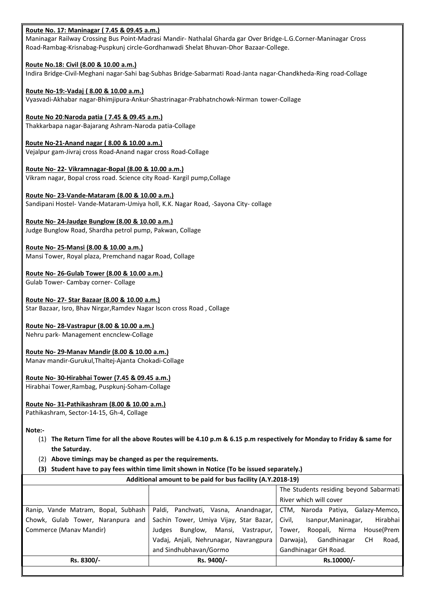Route No. 17: Maninagar ( 7.45 & 09.45 a.m.)<br>Maninagar Railway Crossing Bus Point-Madrasi Mandir- Nathalal Gharda gar Over Bridge-L.G.Corner-Maninagar Cross<br>Road-Rambag-Krisnabag-Puspkunj circle-Gordhanwadi Shelat Bhuvan-D Route No. 17: Maninagar (7.45 & 09.45 a.m.)<br>Maninagar Railway Crossing Bus Point-Madrasi Mandir- Nathalal Gharda gar Over Bridge-L.G.Corner-Maninagar Cross<br>Road-Rambag-Krisnabag-Puspkunj circle-Gordhanwadi Shelat Bhuvan-Dh Route No. 17: Maninagar (7.45 & 09.45 a.m.)<br>Maninagar Railway Crossing Bus Point-Madrasi Mandir-Nathalal Gharda gar Over Bridge-L.G.Corner-Maninagar Cross<br>Road-Rambag-Krisnabag-Puspkunj circle-Gordhanwadi Shelat Bhuvan-Dho Route No. 17: Maninagar (7.45 & 09.45 a.m.)<br>Maninagar Railway Crossing Bus Point-Madrasi Mandir- Nathalal Gharda gar Over Bridge-L.G.Corner-Maninagar C<br>Route No.18: Civil (8.00 & 10.00 a.m.)<br>Indira Bridge-Civil-Meghani nag Route No. 17: Maninagar (7.45 & 09.45 a.m.)<br>Maninagar Railway Crossing Bus Point-Madrasi Mandir- Nathalal Gharda gar Over Bridge-L.G.Corner-Maninagar Cross<br>Road-Rambag-Krisnabag-Puspkunj circle-Gordhanwadi Shelat Bhuvan-Dh Route No. 17: Maninagar (7.45 & 09.45 a.m.)<br>Maninagar Railway Crossing Bus Point-Madrasi Mandir- Nathalal Gharda gar Over Bridge-L.G.Corner-Maninagar Cros<br>Road-Rambag-Krisnabag-Puspkunj circle-Gordhanwadi Shelat Bhuvan-Dho Route No. 17: Maninagar (7.45 & 09.45 a.m.)<br>Maninagar Railway Crossing Bus Point-Madrasi Mandir- Nathalal Gharda gar Over Bridge-L.G.Corner-Maninagar Cross<br>Road-Rambag-Krisnabag-Puspkunj circle-Gordhanwadi Shelat Bhuvan-Dh Route No. 17: Maninagar (7.45 & 09.45 a.m.)<br>Maninagar Railway Crossing Bus Point-Madrasi Mandir- Nathalal Gharda gar Over Bridge-L.G.Corner-Maninagar Cross<br>Road-Rambag-Krisnabag-Puspkunj circle-Gordhanwadi Shelat Bhuvan-Dh Route No. 17: Maninagar (7.45 & 09.45 a.m.)<br>Maninagar Railway Crossing Bus Point-Madrasi Mandir- Nathalal Gharda gar Over Bridge-L.G.Corner-Maninagar Cross<br>Road-Rambag-Krisnabag-Puspkunj circle-Gordhanwadi Shelat Bhuvan-Dh **Route No. 17: Maninagar (7.45 & 09.45 a.m.)**<br>Maninagar Railway Crossing Bus Point-Madrasi Mandir- Nathalal Gharda gar Over Bridge-L.G.Corner-Maninagar Cross<br>Road-Rambag-Krisnabag-Puspkunj circle-Gordhanwadi Shelat Bhuvan-Route No. 17: Maninagar (7.45 & 09.45 a.m.)<br>Maninagar Railway Crossing Bus Point-Madrasi Mandir- Nathalal Gharda gar Over Bridge-L.G.Corner-Maninagar Cross<br>Road-Rambag-Krisnabag-Puspkunj circle-Gordhanwadi Shelat Bhuvan-Dh Route No. 17: Maninagar ( 7.45 & 09.45 a.m.)<br>Maninagar Railway Crossing Bus Point-Madrasi Mandir- Nathalal Gharda gar Over Bridge-L.G.Corner-Maninagar Cross<br>Road-Rambag-Krisnabag-Puspkunj circle-Gordhanwadi Shelat Bhuvan-D Route No. 17: Maninagar (7.45 & 09.45 a.m.)<br>Maninagar Railway Crossing Bus Point-Madrasi Mandir- Nathalal Gharda gar Over Bridge-LG Corner-Maninagar Cross<br>Road-Rambag-Krisnabag-Puspkunj circle-Gordhanwadi Shelat Bhuvan-Dho **Route No. 17: Maninagar ( 7.45 & 09.45 a.m.)**<br>Maninagar Railway Crossing Bus Point-Madrasi Mandir- Nathalal Gharda gar Over Bridge-L.G.Corner-Maninagar Cross<br>Road-Rambag-Krisnabag-Puspkunj circle-Gordhanwadi Shelat Bhuvan **Route No. 17: Maninagar (7.45 & 09.45 an.1)**<br>Maninagar Railway Crossing Bus Point-Madrasi Mandir- Nathalal Gharda gar Over Bridge-LG.Corner-Maninagar Cross<br>Road-Rambag-Kisnabag-Puspkun) circle-Gordhanwadi Shelat Bhuvan-Dh

Road-Rambag-Krisnabag-Puspkunj circle-Gordhanwadi Shelat Bhuvan-Dhor Bazaar-College.<br>**Route No.18: Civil (8.00 & 10.00 a.m.)**<br>Indira Bridge-Civil-Meghani nagar-Sahi bag-Subhas Bridge-Sabarmati Road-Janta nagar-Chandkheda-R **Route No.18: Civil (8.00 & 10.00 a.m.)**<br> **Route No.18: Civil (8.00 & 10.00 a.m.)**<br> **Route No-19:-Vadaj ( 8.00 & 10.00 a.m.)**<br> **Route No-19:-Vadaj ( 8.00 & 10.00 a.m.)**<br> **Route No-19:-Vadaj ( 8.00 & 10.00 a.m.)**<br> **Route No** Indira Bridge-Civil-Meghani nagar-Sahi bag-Subhas Bridge-Sabarmati Road-Janta nagar-Chandkheda-Ring road-Collay<br>**Route No-19:-Vadaj ( 8.00 & 10.00 a.m.)**<br>Vyasvadi-Akhabar nagar-Bhimijipura-Ankur-Shastrinagar-Prabhatnchowk-**Route No-19:-Vadaj (8.00 & 10.00 a.m.)**<br>Vyasvadi-Akhabar nagar-Bhimjipura-Ankur-Shastrinagar-Prabhatnchowk-Nirman tower-Collage<br>Route No-20:Naroda patia (7.45 & 09.45 a.m.)<br>Thakkarbapa nagar-Bajarang Ashram-Naroda patia-C

Vyasvadi-Akhabar nagar-Bhimijpura-Ankur-Shastrinagar-Prabhatnchowk-Nirman tower-Collage<br>
Route No- 20:Naroda patia (1.45-8.09.45-a.m.)<br>
Thakkarbapa nagar-Bajarang Ashram-Naroda patia-Collage<br>
Route No-21-Anand nagar (8.00 **Route No 20:Naroda patia (7.45 & 09.45 a.m.)**<br>Thakkarbapa naga-Bajarang Ashram-Naroda patia-Collage<br> **Route No-21-Anand nagar (8.00 & 10.00 a.m.)**<br>
Vejalpur gam-Jivraj cross Road-Anand nagar cross Road-Collage<br> **Route No-**Thakkarbapa nagar-Bajarang Ashram-Naroda patia-Collage<br>
Route No-21-Anand nagar (8.00 & 10.00 a.m.)<br>
Velaipur gam-livraj cross Road-Anand nagar cross Road-Collage<br>
Route No- 22- Vikramnagar-Bopal (8.00 & 10.00 a.m.)<br>
Route **Route No-21-Anand nagar (8.00 & 10.00 a.m.)**<br>Neplayr gam-livraj cross Road-Anand nagar cross Road-Collage<br>**Route No-22- Vikrammagar-Bonal (8.00 & 10.00 a.m.)**<br>Starting magar, Bopat cross road, Science city Road-Kargil pum Vejalpur gam-Jivraj cross Road-Anand nagar cross Road-Collage<br>
Route No- 22- Vikrammagar-Bopal (8.00 & 10.00 a.m.)<br>
Vikram nagar, Bopal cross road. Science city Road-Kargil pump,Collage<br>
Route No- 23-Vande-Mataram-Umiya ho Route No-22-Vikramnagar-Bopal (8.00 & 10.00 a.m.)<br>
Vikram nagar, Bopal cross road. Science city Road- Kargii pump,Collage<br>
Route No-23-Vande-Mataram (8.00 & 10.00 a.m.)<br>
Sandipani Hostel- Vande-Mataram-Umiya holl, K.K. Nag Vikram nagar, Bopal cross road. Science city Road- Kargli pump, Collage<br>
Route No- 23-Vande-Mataram (8.00 & 10.00 a.m.)<br>
Sandipani Hostel- Vande-Mataram-Umiya holl, K.K. Nagar Road, -Sayona City- collage<br>
Route No- 24-Jaud Route No-23-Vande-Mataram (8.00 & 10.00 a.m.)<br>Sandipani Hostel- Vande-Mataram-Umiya holl, K.K. Nagar Road, -Sayona City- collage<br>Route No-24-Jaudge Bunglow (8.00 & 10.00 a.m.)<br>Judge Bunglow Road, Shardha petrol pump, Pakwa Sandipani Hostel- Vande-Mataram-Umiya holl, K.K. Nagar Road, -Sayona City- collage<br>Route No- 24-Jaudge Bunglow (8.00 & 10.00 a.m.)<br>Route No- 25-Mansi (8.00 & 10.00 a.m.)<br>Route No- 25-Mansi (8.00 & 10.00 a.m.)<br>Mansi Tower,

**Route No-24-Jaudge Bunglow (8.00 & 10.00 a.m.)**<br>Judge Bunglow Road, Shardha petrol pump, Pakwan, Collage<br>Route No-25-Mansi (8.00 & 10.00 a.m.)<br>Mansi Tower, Royal plaza, Premchand nagar Road, Collage<br>Route No-26-Gulab Towe

- Judge Bunglow Road, Shardha petrol pump, Pakwan, Collage<br> **Route No- 25-Mansi (8.00 & 10.00 a.m.)**<br>
Mansi Tower, Royal plaza, Premchand nagar Road, Collage<br> **Route No- 26-Gulab Tower-Cambay corner-Collage**<br> **Route No- 27- Route No-25-Mansi (8.00 & 10.00 a.m.)**<br>
Mansi Tower, Royal plaza, Premchand nagar Road, Collage<br> **Route No-26-Gulab Tower (8.00 & 10.00 a.m.)**<br>
Gulab Tower-Cambay corner-Collage<br> **Route No-27-Star Bazaar (8.00 & 10.00 a.m** (1) Above things my be changed as per the requirements.<br>
(a) The Return Time for all the above Routes Wagar Iscon cross Road , Collage<br>
1974: Management encodew Collage<br>
1974: Management encodew Collage<br>
1974: Management e
	-
	- -

| Route No- 26-Gulab Tower (8.00 & 10.00 a.m.)                                                                            |                                                                                                                                                                                                                    |                                                                     |
|-------------------------------------------------------------------------------------------------------------------------|--------------------------------------------------------------------------------------------------------------------------------------------------------------------------------------------------------------------|---------------------------------------------------------------------|
| Gulab Tower- Cambay corner- Collage                                                                                     |                                                                                                                                                                                                                    |                                                                     |
| Route No- 27- Star Bazaar (8.00 & 10.00 a.m.)<br>Star Bazaar, Isro, Bhav Nirgar, Ramdev Nagar Iscon cross Road, Collage |                                                                                                                                                                                                                    |                                                                     |
| Route No-28-Vastrapur (8.00 & 10.00 a.m.)<br>Nehru park- Management encnclew-Collage                                    |                                                                                                                                                                                                                    |                                                                     |
| Route No- 29-Manav Mandir (8.00 & 10.00 a.m.)<br>Manav mandir-Gurukul, Thaltej-Ajanta Chokadi-Collage                   |                                                                                                                                                                                                                    |                                                                     |
| Route No-30-Hirabhai Tower (7.45 & 09.45 a.m.)<br>Hirabhai Tower, Rambag, Puspkunj-Soham-Collage                        |                                                                                                                                                                                                                    |                                                                     |
| Route No-31-Pathikashram (8.00 & 10.00 a.m.)<br>Pathikashram, Sector-14-15, Gh-4, Collage                               |                                                                                                                                                                                                                    |                                                                     |
| Note:-<br>the Saturday.<br>Above timings may be changed as per the requirements.<br>(2)                                 | (1) The Return Time for all the above Routes will be 4.10 p.m & 6.15 p.m respectively for Monday to Friday & same for<br>(3) Student have to pay fees within time limit shown in Notice (To be issued separately.) |                                                                     |
|                                                                                                                         | Additional amount to be paid for bus facility (A.Y.2018-19)                                                                                                                                                        |                                                                     |
|                                                                                                                         |                                                                                                                                                                                                                    | The Students residing beyond Sabarmati                              |
|                                                                                                                         |                                                                                                                                                                                                                    | River which will cover                                              |
| Ranip, Vande Matram, Bopal, Subhash                                                                                     | Paldi, Panchvati, Vasna, Anandnagar,                                                                                                                                                                               | CTM, Naroda Patiya, Galazy-Memco,                                   |
| Chowk, Gulab Tower, Naranpura and                                                                                       | Sachin Tower, Umiya Vijay, Star Bazar,                                                                                                                                                                             | Isanpur, Maninagar,<br>Hirabhai<br>Civil,                           |
| Commerce (Manav Mandir)                                                                                                 | Judges Bunglow, Mansi, Vastrapur,                                                                                                                                                                                  | House(Prem<br>Roopali, Nirma<br>Tower,                              |
|                                                                                                                         | Vadaj, Anjali, Nehrunagar, Navrangpura<br>and Sindhubhavan/Gormo                                                                                                                                                   | Darwaja), Gandhinagar<br><b>CH</b><br>Road,<br>Gandhinagar GH Road. |
| Rs. 8300/-                                                                                                              | Rs. 9400/-                                                                                                                                                                                                         | Rs.10000/-                                                          |
|                                                                                                                         |                                                                                                                                                                                                                    |                                                                     |
|                                                                                                                         |                                                                                                                                                                                                                    |                                                                     |
|                                                                                                                         |                                                                                                                                                                                                                    |                                                                     |
|                                                                                                                         |                                                                                                                                                                                                                    |                                                                     |
|                                                                                                                         |                                                                                                                                                                                                                    |                                                                     |